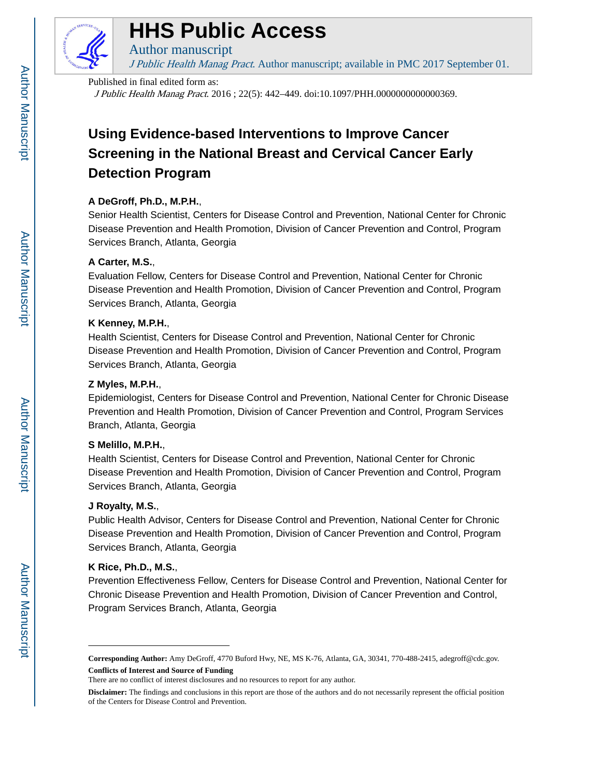

# **HHS Public Access**

Author manuscript J Public Health Manag Pract. Author manuscript; available in PMC 2017 September 01.

#### Published in final edited form as:

J Public Health Manag Pract. 2016 ; 22(5): 442–449. doi:10.1097/PHH.0000000000000369.

# **Using Evidence-based Interventions to Improve Cancer Screening in the National Breast and Cervical Cancer Early Detection Program**

# **A DeGroff, Ph.D., M.P.H.**,

Senior Health Scientist, Centers for Disease Control and Prevention, National Center for Chronic Disease Prevention and Health Promotion, Division of Cancer Prevention and Control, Program Services Branch, Atlanta, Georgia

# **A Carter, M.S.**,

Evaluation Fellow, Centers for Disease Control and Prevention, National Center for Chronic Disease Prevention and Health Promotion, Division of Cancer Prevention and Control, Program Services Branch, Atlanta, Georgia

## **K Kenney, M.P.H.**,

Health Scientist, Centers for Disease Control and Prevention, National Center for Chronic Disease Prevention and Health Promotion, Division of Cancer Prevention and Control, Program Services Branch, Atlanta, Georgia

## **Z Myles, M.P.H.**,

Epidemiologist, Centers for Disease Control and Prevention, National Center for Chronic Disease Prevention and Health Promotion, Division of Cancer Prevention and Control, Program Services Branch, Atlanta, Georgia

## **S Melillo, M.P.H.**,

Health Scientist, Centers for Disease Control and Prevention, National Center for Chronic Disease Prevention and Health Promotion, Division of Cancer Prevention and Control, Program Services Branch, Atlanta, Georgia

## **J Royalty, M.S.**,

Public Health Advisor, Centers for Disease Control and Prevention, National Center for Chronic Disease Prevention and Health Promotion, Division of Cancer Prevention and Control, Program Services Branch, Atlanta, Georgia

## **K Rice, Ph.D., M.S.**,

Prevention Effectiveness Fellow, Centers for Disease Control and Prevention, National Center for Chronic Disease Prevention and Health Promotion, Division of Cancer Prevention and Control, Program Services Branch, Atlanta, Georgia

**Corresponding Author:** Amy DeGroff, 4770 Buford Hwy, NE, MS K-76, Atlanta, GA, 30341, 770-488-2415, adegroff@cdc.gov. **Conflicts of Interest and Source of Funding**

There are no conflict of interest disclosures and no resources to report for any author.

**Disclaimer:** The findings and conclusions in this report are those of the authors and do not necessarily represent the official position of the Centers for Disease Control and Prevention.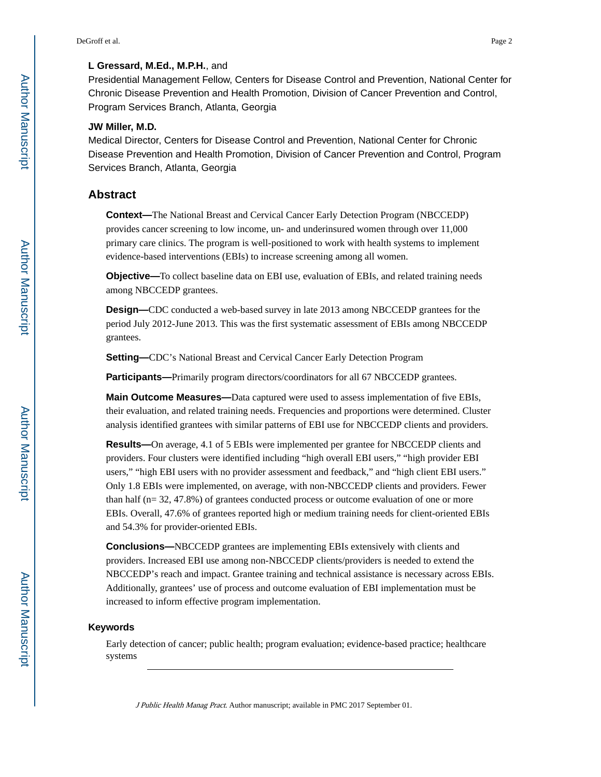#### **L Gressard, M.Ed., M.P.H.**, and

Presidential Management Fellow, Centers for Disease Control and Prevention, National Center for Chronic Disease Prevention and Health Promotion, Division of Cancer Prevention and Control, Program Services Branch, Atlanta, Georgia

#### **JW Miller, M.D.**

Medical Director, Centers for Disease Control and Prevention, National Center for Chronic Disease Prevention and Health Promotion, Division of Cancer Prevention and Control, Program Services Branch, Atlanta, Georgia

# **Abstract**

**Context—**The National Breast and Cervical Cancer Early Detection Program (NBCCEDP) provides cancer screening to low income, un- and underinsured women through over 11,000 primary care clinics. The program is well-positioned to work with health systems to implement evidence-based interventions (EBIs) to increase screening among all women.

**Objective—**To collect baseline data on EBI use, evaluation of EBIs, and related training needs among NBCCEDP grantees.

**Design—**CDC conducted a web-based survey in late 2013 among NBCCEDP grantees for the period July 2012-June 2013. This was the first systematic assessment of EBIs among NBCCEDP grantees.

**Setting—CDC's National Breast and Cervical Cancer Early Detection Program** 

**Participants—**Primarily program directors/coordinators for all 67 NBCCEDP grantees.

**Main Outcome Measures—**Data captured were used to assess implementation of five EBIs, their evaluation, and related training needs. Frequencies and proportions were determined. Cluster analysis identified grantees with similar patterns of EBI use for NBCCEDP clients and providers.

**Results—**On average, 4.1 of 5 EBIs were implemented per grantee for NBCCEDP clients and providers. Four clusters were identified including "high overall EBI users," "high provider EBI users," "high EBI users with no provider assessment and feedback," and "high client EBI users." Only 1.8 EBIs were implemented, on average, with non-NBCCEDP clients and providers. Fewer than half (n= 32, 47.8%) of grantees conducted process or outcome evaluation of one or more EBIs. Overall, 47.6% of grantees reported high or medium training needs for client-oriented EBIs and 54.3% for provider-oriented EBIs.

**Conclusions—**NBCCEDP grantees are implementing EBIs extensively with clients and providers. Increased EBI use among non-NBCCEDP clients/providers is needed to extend the NBCCEDP's reach and impact. Grantee training and technical assistance is necessary across EBIs. Additionally, grantees' use of process and outcome evaluation of EBI implementation must be increased to inform effective program implementation.

#### **Keywords**

Early detection of cancer; public health; program evaluation; evidence-based practice; healthcare systems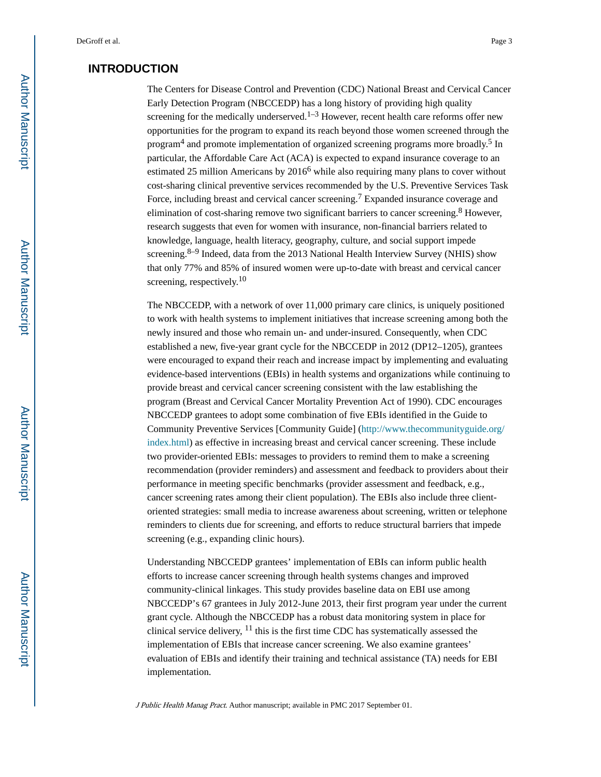# **INTRODUCTION**

The Centers for Disease Control and Prevention (CDC) National Breast and Cervical Cancer Early Detection Program (NBCCEDP) has a long history of providing high quality screening for the medically underserved.<sup>1–3</sup> However, recent health care reforms offer new opportunities for the program to expand its reach beyond those women screened through the program<sup>4</sup> and promote implementation of organized screening programs more broadly.<sup>5</sup> In particular, the Affordable Care Act (ACA) is expected to expand insurance coverage to an estimated 25 million Americans by  $2016<sup>6</sup>$  while also requiring many plans to cover without cost-sharing clinical preventive services recommended by the U.S. Preventive Services Task Force, including breast and cervical cancer screening.<sup>7</sup> Expanded insurance coverage and elimination of cost-sharing remove two significant barriers to cancer screening.<sup>8</sup> However, research suggests that even for women with insurance, non-financial barriers related to knowledge, language, health literacy, geography, culture, and social support impede screening.<sup>8–9</sup> Indeed, data from the 2013 National Health Interview Survey (NHIS) show that only 77% and 85% of insured women were up-to-date with breast and cervical cancer screening, respectively.<sup>10</sup>

The NBCCEDP, with a network of over 11,000 primary care clinics, is uniquely positioned to work with health systems to implement initiatives that increase screening among both the newly insured and those who remain un- and under-insured. Consequently, when CDC established a new, five-year grant cycle for the NBCCEDP in 2012 (DP12–1205), grantees were encouraged to expand their reach and increase impact by implementing and evaluating evidence-based interventions (EBIs) in health systems and organizations while continuing to provide breast and cervical cancer screening consistent with the law establishing the program (Breast and Cervical Cancer Mortality Prevention Act of 1990). CDC encourages NBCCEDP grantees to adopt some combination of five EBIs identified in the Guide to Community Preventive Services [Community Guide] [\(http://www.thecommunityguide.org/](http://www.thecommunityguide.org/index.html) [index.html\)](http://www.thecommunityguide.org/index.html) as effective in increasing breast and cervical cancer screening. These include two provider-oriented EBIs: messages to providers to remind them to make a screening recommendation (provider reminders) and assessment and feedback to providers about their performance in meeting specific benchmarks (provider assessment and feedback, e.g., cancer screening rates among their client population). The EBIs also include three clientoriented strategies: small media to increase awareness about screening, written or telephone reminders to clients due for screening, and efforts to reduce structural barriers that impede screening (e.g., expanding clinic hours).

Understanding NBCCEDP grantees' implementation of EBIs can inform public health efforts to increase cancer screening through health systems changes and improved community-clinical linkages. This study provides baseline data on EBI use among NBCCEDP's 67 grantees in July 2012-June 2013, their first program year under the current grant cycle. Although the NBCCEDP has a robust data monitoring system in place for clinical service delivery,  $^{11}$  this is the first time CDC has systematically assessed the implementation of EBIs that increase cancer screening. We also examine grantees' evaluation of EBIs and identify their training and technical assistance (TA) needs for EBI implementation.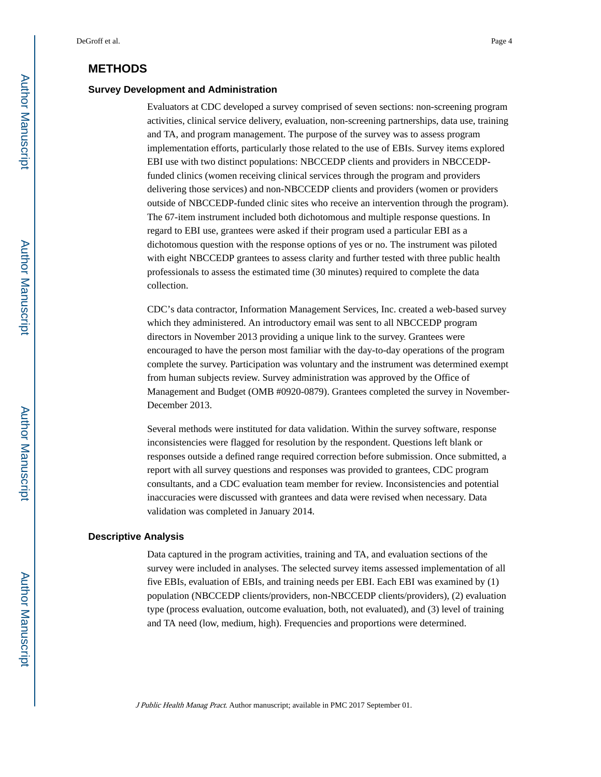# **METHODS**

#### **Survey Development and Administration**

Evaluators at CDC developed a survey comprised of seven sections: non-screening program activities, clinical service delivery, evaluation, non-screening partnerships, data use, training and TA, and program management. The purpose of the survey was to assess program implementation efforts, particularly those related to the use of EBIs. Survey items explored EBI use with two distinct populations: NBCCEDP clients and providers in NBCCEDPfunded clinics (women receiving clinical services through the program and providers delivering those services) and non-NBCCEDP clients and providers (women or providers outside of NBCCEDP-funded clinic sites who receive an intervention through the program). The 67-item instrument included both dichotomous and multiple response questions. In regard to EBI use, grantees were asked if their program used a particular EBI as a dichotomous question with the response options of yes or no. The instrument was piloted with eight NBCCEDP grantees to assess clarity and further tested with three public health professionals to assess the estimated time (30 minutes) required to complete the data collection.

CDC's data contractor, Information Management Services, Inc. created a web-based survey which they administered. An introductory email was sent to all NBCCEDP program directors in November 2013 providing a unique link to the survey. Grantees were encouraged to have the person most familiar with the day-to-day operations of the program complete the survey. Participation was voluntary and the instrument was determined exempt from human subjects review. Survey administration was approved by the Office of Management and Budget (OMB #0920-0879). Grantees completed the survey in November-December 2013.

Several methods were instituted for data validation. Within the survey software, response inconsistencies were flagged for resolution by the respondent. Questions left blank or responses outside a defined range required correction before submission. Once submitted, a report with all survey questions and responses was provided to grantees, CDC program consultants, and a CDC evaluation team member for review. Inconsistencies and potential inaccuracies were discussed with grantees and data were revised when necessary. Data validation was completed in January 2014.

#### **Descriptive Analysis**

Data captured in the program activities, training and TA, and evaluation sections of the survey were included in analyses. The selected survey items assessed implementation of all five EBIs, evaluation of EBIs, and training needs per EBI. Each EBI was examined by (1) population (NBCCEDP clients/providers, non-NBCCEDP clients/providers), (2) evaluation type (process evaluation, outcome evaluation, both, not evaluated), and (3) level of training and TA need (low, medium, high). Frequencies and proportions were determined.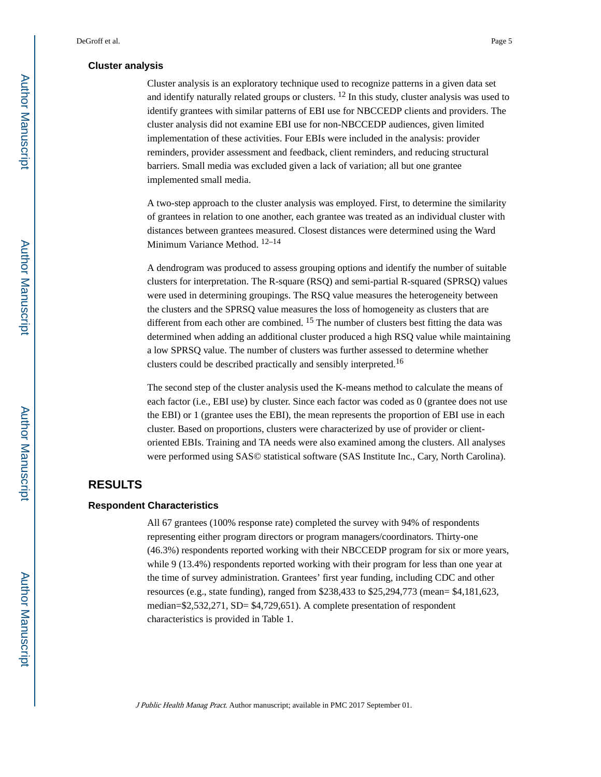#### **Cluster analysis**

Cluster analysis is an exploratory technique used to recognize patterns in a given data set and identify naturally related groups or clusters.  $12$  In this study, cluster analysis was used to identify grantees with similar patterns of EBI use for NBCCEDP clients and providers. The cluster analysis did not examine EBI use for non-NBCCEDP audiences, given limited implementation of these activities. Four EBIs were included in the analysis: provider reminders, provider assessment and feedback, client reminders, and reducing structural barriers. Small media was excluded given a lack of variation; all but one grantee implemented small media.

A two-step approach to the cluster analysis was employed. First, to determine the similarity of grantees in relation to one another, each grantee was treated as an individual cluster with distances between grantees measured. Closest distances were determined using the Ward Minimum Variance Method. 12–14

A dendrogram was produced to assess grouping options and identify the number of suitable clusters for interpretation. The R-square (RSQ) and semi-partial R-squared (SPRSQ) values were used in determining groupings. The RSQ value measures the heterogeneity between the clusters and the SPRSQ value measures the loss of homogeneity as clusters that are different from each other are combined. <sup>15</sup> The number of clusters best fitting the data was determined when adding an additional cluster produced a high RSQ value while maintaining a low SPRSQ value. The number of clusters was further assessed to determine whether clusters could be described practically and sensibly interpreted.<sup>16</sup>

The second step of the cluster analysis used the K-means method to calculate the means of each factor (i.e., EBI use) by cluster. Since each factor was coded as 0 (grantee does not use the EBI) or 1 (grantee uses the EBI), the mean represents the proportion of EBI use in each cluster. Based on proportions, clusters were characterized by use of provider or clientoriented EBIs. Training and TA needs were also examined among the clusters. All analyses were performed using SAS© statistical software (SAS Institute Inc., Cary, North Carolina).

# **RESULTS**

#### **Respondent Characteristics**

All 67 grantees (100% response rate) completed the survey with 94% of respondents representing either program directors or program managers/coordinators. Thirty-one (46.3%) respondents reported working with their NBCCEDP program for six or more years, while 9 (13.4%) respondents reported working with their program for less than one year at the time of survey administration. Grantees' first year funding, including CDC and other resources (e.g., state funding), ranged from \$238,433 to \$25,294,773 (mean= \$4,181,623, median=\$2,532,271, SD= \$4,729,651). A complete presentation of respondent characteristics is provided in Table 1.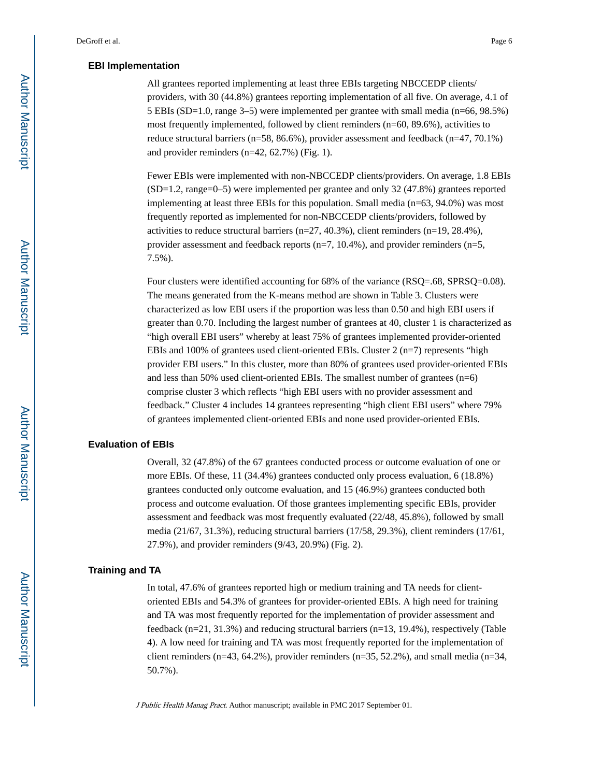#### **EBI Implementation**

All grantees reported implementing at least three EBIs targeting NBCCEDP clients/ providers, with 30 (44.8%) grantees reporting implementation of all five. On average, 4.1 of 5 EBIs (SD=1.0, range 3–5) were implemented per grantee with small media (n=66, 98.5%) most frequently implemented, followed by client reminders (n=60, 89.6%), activities to reduce structural barriers (n=58, 86.6%), provider assessment and feedback (n=47, 70.1%) and provider reminders (n=42, 62.7%) (Fig. 1).

Fewer EBIs were implemented with non-NBCCEDP clients/providers. On average, 1.8 EBIs (SD=1.2, range=0–5) were implemented per grantee and only 32 (47.8%) grantees reported implementing at least three EBIs for this population. Small media (n=63, 94.0%) was most frequently reported as implemented for non-NBCCEDP clients/providers, followed by activities to reduce structural barriers (n=27, 40.3%), client reminders (n=19, 28.4%), provider assessment and feedback reports (n=7, 10.4%), and provider reminders (n=5, 7.5%).

Four clusters were identified accounting for 68% of the variance (RSQ=.68, SPRSQ=0.08). The means generated from the K-means method are shown in Table 3. Clusters were characterized as low EBI users if the proportion was less than 0.50 and high EBI users if greater than 0.70. Including the largest number of grantees at 40, cluster 1 is characterized as "high overall EBI users" whereby at least 75% of grantees implemented provider-oriented EBIs and 100% of grantees used client-oriented EBIs. Cluster  $2$  (n=7) represents "high provider EBI users." In this cluster, more than 80% of grantees used provider-oriented EBIs and less than 50% used client-oriented EBIs. The smallest number of grantees (n=6) comprise cluster 3 which reflects "high EBI users with no provider assessment and feedback." Cluster 4 includes 14 grantees representing "high client EBI users" where 79% of grantees implemented client-oriented EBIs and none used provider-oriented EBIs.

#### **Evaluation of EBIs**

Overall, 32 (47.8%) of the 67 grantees conducted process or outcome evaluation of one or more EBIs. Of these, 11 (34.4%) grantees conducted only process evaluation, 6 (18.8%) grantees conducted only outcome evaluation, and 15 (46.9%) grantees conducted both process and outcome evaluation. Of those grantees implementing specific EBIs, provider assessment and feedback was most frequently evaluated (22/48, 45.8%), followed by small media (21/67, 31.3%), reducing structural barriers (17/58, 29.3%), client reminders (17/61, 27.9%), and provider reminders (9/43, 20.9%) (Fig. 2).

#### **Training and TA**

In total, 47.6% of grantees reported high or medium training and TA needs for clientoriented EBIs and 54.3% of grantees for provider-oriented EBIs. A high need for training and TA was most frequently reported for the implementation of provider assessment and feedback ( $n=21, 31.3\%$ ) and reducing structural barriers ( $n=13, 19.4\%$ ), respectively (Table 4). A low need for training and TA was most frequently reported for the implementation of client reminders (n=43, 64.2%), provider reminders (n=35, 52.2%), and small media (n=34, 50.7%).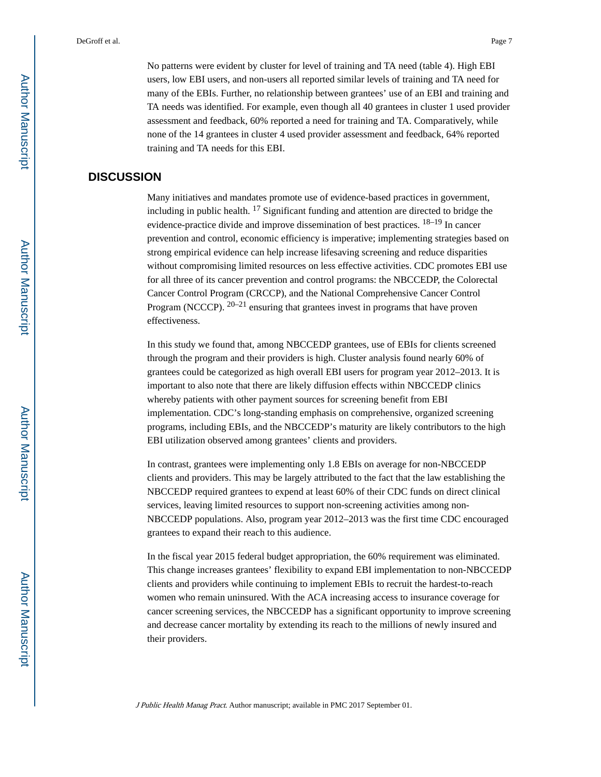No patterns were evident by cluster for level of training and TA need (table 4). High EBI users, low EBI users, and non-users all reported similar levels of training and TA need for many of the EBIs. Further, no relationship between grantees' use of an EBI and training and TA needs was identified. For example, even though all 40 grantees in cluster 1 used provider assessment and feedback, 60% reported a need for training and TA. Comparatively, while none of the 14 grantees in cluster 4 used provider assessment and feedback, 64% reported training and TA needs for this EBI.

#### **DISCUSSION**

Many initiatives and mandates promote use of evidence-based practices in government, including in public health. 17 Significant funding and attention are directed to bridge the evidence-practice divide and improve dissemination of best practices. 18–19 In cancer prevention and control, economic efficiency is imperative; implementing strategies based on strong empirical evidence can help increase lifesaving screening and reduce disparities without compromising limited resources on less effective activities. CDC promotes EBI use for all three of its cancer prevention and control programs: the NBCCEDP, the Colorectal Cancer Control Program (CRCCP), and the National Comprehensive Cancer Control Program (NCCCP).  $20-21$  ensuring that grantees invest in programs that have proven effectiveness.

In this study we found that, among NBCCEDP grantees, use of EBIs for clients screened through the program and their providers is high. Cluster analysis found nearly 60% of grantees could be categorized as high overall EBI users for program year 2012–2013. It is important to also note that there are likely diffusion effects within NBCCEDP clinics whereby patients with other payment sources for screening benefit from EBI implementation. CDC's long-standing emphasis on comprehensive, organized screening programs, including EBIs, and the NBCCEDP's maturity are likely contributors to the high EBI utilization observed among grantees' clients and providers.

In contrast, grantees were implementing only 1.8 EBIs on average for non-NBCCEDP clients and providers. This may be largely attributed to the fact that the law establishing the NBCCEDP required grantees to expend at least 60% of their CDC funds on direct clinical services, leaving limited resources to support non-screening activities among non-NBCCEDP populations. Also, program year 2012–2013 was the first time CDC encouraged grantees to expand their reach to this audience.

In the fiscal year 2015 federal budget appropriation, the 60% requirement was eliminated. This change increases grantees' flexibility to expand EBI implementation to non-NBCCEDP clients and providers while continuing to implement EBIs to recruit the hardest-to-reach women who remain uninsured. With the ACA increasing access to insurance coverage for cancer screening services, the NBCCEDP has a significant opportunity to improve screening and decrease cancer mortality by extending its reach to the millions of newly insured and their providers.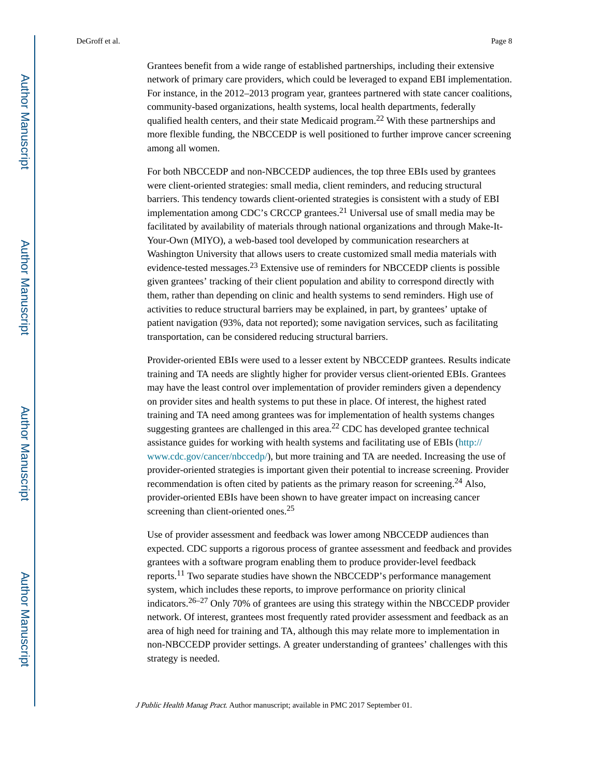Grantees benefit from a wide range of established partnerships, including their extensive network of primary care providers, which could be leveraged to expand EBI implementation. For instance, in the 2012–2013 program year, grantees partnered with state cancer coalitions, community-based organizations, health systems, local health departments, federally qualified health centers, and their state Medicaid program.<sup>22</sup> With these partnerships and more flexible funding, the NBCCEDP is well positioned to further improve cancer screening among all women.

For both NBCCEDP and non-NBCCEDP audiences, the top three EBIs used by grantees were client-oriented strategies: small media, client reminders, and reducing structural barriers. This tendency towards client-oriented strategies is consistent with a study of EBI implementation among CDC's CRCCP grantees.21 Universal use of small media may be facilitated by availability of materials through national organizations and through Make-It-Your-Own (MIYO), a web-based tool developed by communication researchers at Washington University that allows users to create customized small media materials with evidence-tested messages.23 Extensive use of reminders for NBCCEDP clients is possible given grantees' tracking of their client population and ability to correspond directly with them, rather than depending on clinic and health systems to send reminders. High use of activities to reduce structural barriers may be explained, in part, by grantees' uptake of patient navigation (93%, data not reported); some navigation services, such as facilitating transportation, can be considered reducing structural barriers.

Provider-oriented EBIs were used to a lesser extent by NBCCEDP grantees. Results indicate training and TA needs are slightly higher for provider versus client-oriented EBIs. Grantees may have the least control over implementation of provider reminders given a dependency on provider sites and health systems to put these in place. Of interest, the highest rated training and TA need among grantees was for implementation of health systems changes suggesting grantees are challenged in this area.<sup>22</sup> CDC has developed grantee technical assistance guides for working with health systems and facilitating use of EBIs ([http://](http://www.cdc.gov/cancer/nbccedp/) [www.cdc.gov/cancer/nbccedp/](http://www.cdc.gov/cancer/nbccedp/)), but more training and TA are needed. Increasing the use of provider-oriented strategies is important given their potential to increase screening. Provider recommendation is often cited by patients as the primary reason for screening.<sup>24</sup> Also, provider-oriented EBIs have been shown to have greater impact on increasing cancer screening than client-oriented ones.<sup>25</sup>

Use of provider assessment and feedback was lower among NBCCEDP audiences than expected. CDC supports a rigorous process of grantee assessment and feedback and provides grantees with a software program enabling them to produce provider-level feedback reports.11 Two separate studies have shown the NBCCEDP's performance management system, which includes these reports, to improve performance on priority clinical indicators.<sup>26–27</sup> Only 70% of grantees are using this strategy within the NBCCEDP provider network. Of interest, grantees most frequently rated provider assessment and feedback as an area of high need for training and TA, although this may relate more to implementation in non-NBCCEDP provider settings. A greater understanding of grantees' challenges with this strategy is needed.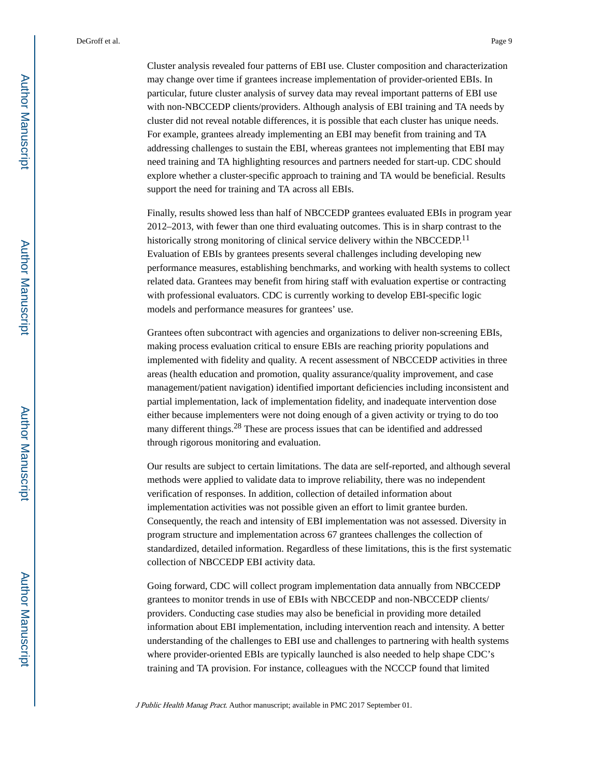Cluster analysis revealed four patterns of EBI use. Cluster composition and characterization may change over time if grantees increase implementation of provider-oriented EBIs. In particular, future cluster analysis of survey data may reveal important patterns of EBI use with non-NBCCEDP clients/providers. Although analysis of EBI training and TA needs by cluster did not reveal notable differences, it is possible that each cluster has unique needs. For example, grantees already implementing an EBI may benefit from training and TA addressing challenges to sustain the EBI, whereas grantees not implementing that EBI may need training and TA highlighting resources and partners needed for start-up. CDC should explore whether a cluster-specific approach to training and TA would be beneficial. Results support the need for training and TA across all EBIs.

Finally, results showed less than half of NBCCEDP grantees evaluated EBIs in program year 2012–2013, with fewer than one third evaluating outcomes. This is in sharp contrast to the historically strong monitoring of clinical service delivery within the NBCCEDP.<sup>11</sup> Evaluation of EBIs by grantees presents several challenges including developing new performance measures, establishing benchmarks, and working with health systems to collect related data. Grantees may benefit from hiring staff with evaluation expertise or contracting with professional evaluators. CDC is currently working to develop EBI-specific logic models and performance measures for grantees' use.

Grantees often subcontract with agencies and organizations to deliver non-screening EBIs, making process evaluation critical to ensure EBIs are reaching priority populations and implemented with fidelity and quality. A recent assessment of NBCCEDP activities in three areas (health education and promotion, quality assurance/quality improvement, and case management/patient navigation) identified important deficiencies including inconsistent and partial implementation, lack of implementation fidelity, and inadequate intervention dose either because implementers were not doing enough of a given activity or trying to do too many different things.28 These are process issues that can be identified and addressed through rigorous monitoring and evaluation.

Our results are subject to certain limitations. The data are self-reported, and although several methods were applied to validate data to improve reliability, there was no independent verification of responses. In addition, collection of detailed information about implementation activities was not possible given an effort to limit grantee burden. Consequently, the reach and intensity of EBI implementation was not assessed. Diversity in program structure and implementation across 67 grantees challenges the collection of standardized, detailed information. Regardless of these limitations, this is the first systematic collection of NBCCEDP EBI activity data.

Going forward, CDC will collect program implementation data annually from NBCCEDP grantees to monitor trends in use of EBIs with NBCCEDP and non-NBCCEDP clients/ providers. Conducting case studies may also be beneficial in providing more detailed information about EBI implementation, including intervention reach and intensity. A better understanding of the challenges to EBI use and challenges to partnering with health systems where provider-oriented EBIs are typically launched is also needed to help shape CDC's training and TA provision. For instance, colleagues with the NCCCP found that limited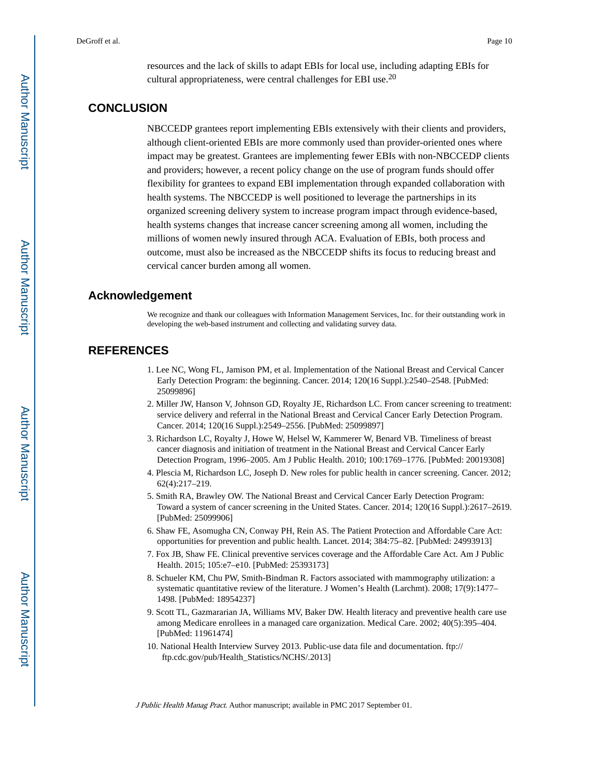resources and the lack of skills to adapt EBIs for local use, including adapting EBIs for cultural appropriateness, were central challenges for EBI use. $^{20}$ 

# **CONCLUSION**

NBCCEDP grantees report implementing EBIs extensively with their clients and providers, although client-oriented EBIs are more commonly used than provider-oriented ones where impact may be greatest. Grantees are implementing fewer EBIs with non-NBCCEDP clients and providers; however, a recent policy change on the use of program funds should offer flexibility for grantees to expand EBI implementation through expanded collaboration with health systems. The NBCCEDP is well positioned to leverage the partnerships in its organized screening delivery system to increase program impact through evidence-based, health systems changes that increase cancer screening among all women, including the millions of women newly insured through ACA. Evaluation of EBIs, both process and outcome, must also be increased as the NBCCEDP shifts its focus to reducing breast and cervical cancer burden among all women.

#### **Acknowledgement**

We recognize and thank our colleagues with Information Management Services, Inc. for their outstanding work in developing the web-based instrument and collecting and validating survey data.

# **REFERENCES**

- 1. Lee NC, Wong FL, Jamison PM, et al. Implementation of the National Breast and Cervical Cancer Early Detection Program: the beginning. Cancer. 2014; 120(16 Suppl.):2540–2548. [PubMed: 25099896]
- 2. Miller JW, Hanson V, Johnson GD, Royalty JE, Richardson LC. From cancer screening to treatment: service delivery and referral in the National Breast and Cervical Cancer Early Detection Program. Cancer. 2014; 120(16 Suppl.):2549–2556. [PubMed: 25099897]
- 3. Richardson LC, Royalty J, Howe W, Helsel W, Kammerer W, Benard VB. Timeliness of breast cancer diagnosis and initiation of treatment in the National Breast and Cervical Cancer Early Detection Program, 1996–2005. Am J Public Health. 2010; 100:1769–1776. [PubMed: 20019308]
- 4. Plescia M, Richardson LC, Joseph D. New roles for public health in cancer screening. Cancer. 2012; 62(4):217–219.
- 5. Smith RA, Brawley OW. The National Breast and Cervical Cancer Early Detection Program: Toward a system of cancer screening in the United States. Cancer. 2014; 120(16 Suppl.):2617–2619. [PubMed: 25099906]
- 6. Shaw FE, Asomugha CN, Conway PH, Rein AS. The Patient Protection and Affordable Care Act: opportunities for prevention and public health. Lancet. 2014; 384:75–82. [PubMed: 24993913]
- 7. Fox JB, Shaw FE. Clinical preventive services coverage and the Affordable Care Act. Am J Public Health. 2015; 105:e7–e10. [PubMed: 25393173]
- 8. Schueler KM, Chu PW, Smith-Bindman R. Factors associated with mammography utilization: a systematic quantitative review of the literature. J Women's Health (Larchmt). 2008; 17(9):1477– 1498. [PubMed: 18954237]
- 9. Scott TL, Gazmararian JA, Williams MV, Baker DW. Health literacy and preventive health care use among Medicare enrollees in a managed care organization. Medical Care. 2002; 40(5):395–404. [PubMed: 11961474]
- 10. National Health Interview Survey 2013. Public-use data file and documentation. ftp:// ftp.cdc.gov/pub/Health\_Statistics/NCHS/.2013]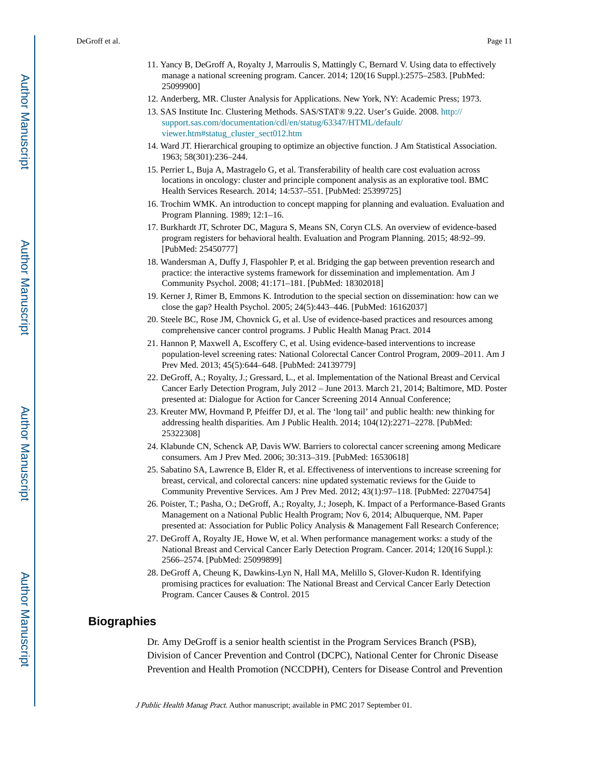- 11. Yancy B, DeGroff A, Royalty J, Marroulis S, Mattingly C, Bernard V. Using data to effectively manage a national screening program. Cancer. 2014; 120(16 Suppl.):2575–2583. [PubMed: 25099900]
- 12. Anderberg, MR. Cluster Analysis for Applications. New York, NY: Academic Press; 1973.
- 13. SAS Institute Inc. Clustering Methods. SAS/STAT® 9.22. User's Guide. 2008. [http://](http://support.sas.com/documentation/cdl/en/statug/63347/HTML/default/viewer.htm#statug_cluster_sect012.htm) [support.sas.com/documentation/cdl/en/statug/63347/HTML/default/](http://support.sas.com/documentation/cdl/en/statug/63347/HTML/default/viewer.htm#statug_cluster_sect012.htm) [viewer.htm#statug\\_cluster\\_sect012.htm](http://support.sas.com/documentation/cdl/en/statug/63347/HTML/default/viewer.htm#statug_cluster_sect012.htm)
- 14. Ward JT. Hierarchical grouping to optimize an objective function. J Am Statistical Association. 1963; 58(301):236–244.
- 15. Perrier L, Buja A, Mastragelo G, et al. Transferability of health care cost evaluation across locations in oncology: cluster and principle component analysis as an explorative tool. BMC Health Services Research. 2014; 14:537–551. [PubMed: 25399725]
- 16. Trochim WMK. An introduction to concept mapping for planning and evaluation. Evaluation and Program Planning. 1989; 12:1–16.
- 17. Burkhardt JT, Schroter DC, Magura S, Means SN, Coryn CLS. An overview of evidence-based program registers for behavioral health. Evaluation and Program Planning. 2015; 48:92–99. [PubMed: 25450777]
- 18. Wandersman A, Duffy J, Flaspohler P, et al. Bridging the gap between prevention research and practice: the interactive systems framework for dissemination and implementation. Am J Community Psychol. 2008; 41:171–181. [PubMed: 18302018]
- 19. Kerner J, Rimer B, Emmons K. Introdution to the special section on dissemination: how can we close the gap? Health Psychol. 2005; 24(5):443–446. [PubMed: 16162037]
- 20. Steele BC, Rose JM, Chovnick G, et al. Use of evidence-based practices and resources among comprehensive cancer control programs. J Public Health Manag Pract. 2014
- 21. Hannon P, Maxwell A, Escoffery C, et al. Using evidence-based interventions to increase population-level screening rates: National Colorectal Cancer Control Program, 2009–2011. Am J Prev Med. 2013; 45(5):644–648. [PubMed: 24139779]
- 22. DeGroff, A.; Royalty, J.; Gressard, L., et al. Implementation of the National Breast and Cervical Cancer Early Detection Program, July 2012 – June 2013. March 21, 2014; Baltimore, MD. Poster presented at: Dialogue for Action for Cancer Screening 2014 Annual Conference;
- 23. Kreuter MW, Hovmand P, Pfeiffer DJ, et al. The 'long tail' and public health: new thinking for addressing health disparities. Am J Public Health. 2014; 104(12):2271–2278. [PubMed: 25322308]
- 24. Klabunde CN, Schenck AP, Davis WW. Barriers to colorectal cancer screening among Medicare consumers. Am J Prev Med. 2006; 30:313–319. [PubMed: 16530618]
- 25. Sabatino SA, Lawrence B, Elder R, et al. Effectiveness of interventions to increase screening for breast, cervical, and colorectal cancers: nine updated systematic reviews for the Guide to Community Preventive Services. Am J Prev Med. 2012; 43(1):97–118. [PubMed: 22704754]
- 26. Poister, T.; Pasha, O.; DeGroff, A.; Royalty, J.; Joseph, K. Impact of a Performance-Based Grants Management on a National Public Health Program; Nov 6, 2014; Albuquerque, NM. Paper presented at: Association for Public Policy Analysis & Management Fall Research Conference;
- 27. DeGroff A, Royalty JE, Howe W, et al. When performance management works: a study of the National Breast and Cervical Cancer Early Detection Program. Cancer. 2014; 120(16 Suppl.): 2566–2574. [PubMed: 25099899]
- 28. DeGroff A, Cheung K, Dawkins-Lyn N, Hall MA, Melillo S, Glover-Kudon R. Identifying promising practices for evaluation: The National Breast and Cervical Cancer Early Detection Program. Cancer Causes & Control. 2015

#### **Biographies**

Dr. Amy DeGroff is a senior health scientist in the Program Services Branch (PSB), Division of Cancer Prevention and Control (DCPC), National Center for Chronic Disease Prevention and Health Promotion (NCCDPH), Centers for Disease Control and Prevention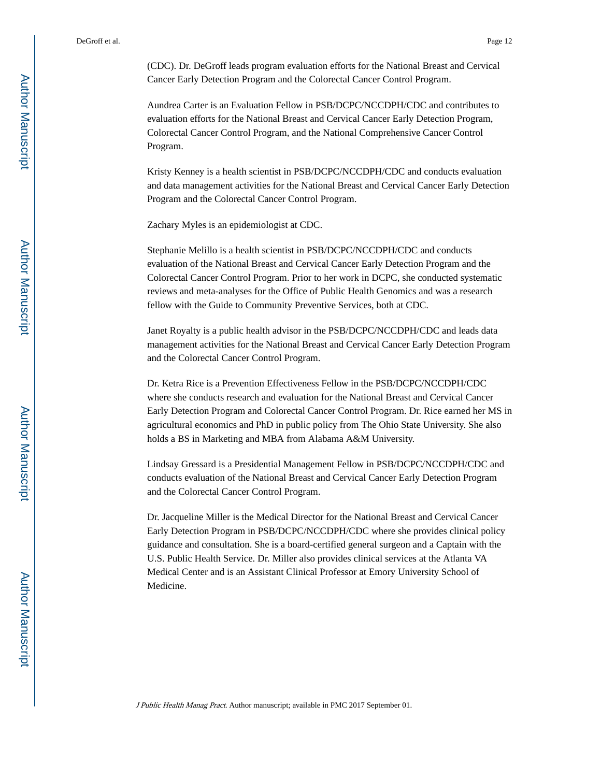(CDC). Dr. DeGroff leads program evaluation efforts for the National Breast and Cervical Cancer Early Detection Program and the Colorectal Cancer Control Program.

Aundrea Carter is an Evaluation Fellow in PSB/DCPC/NCCDPH/CDC and contributes to evaluation efforts for the National Breast and Cervical Cancer Early Detection Program, Colorectal Cancer Control Program, and the National Comprehensive Cancer Control Program.

Kristy Kenney is a health scientist in PSB/DCPC/NCCDPH/CDC and conducts evaluation and data management activities for the National Breast and Cervical Cancer Early Detection Program and the Colorectal Cancer Control Program.

Zachary Myles is an epidemiologist at CDC.

Stephanie Melillo is a health scientist in PSB/DCPC/NCCDPH/CDC and conducts evaluation of the National Breast and Cervical Cancer Early Detection Program and the Colorectal Cancer Control Program. Prior to her work in DCPC, she conducted systematic reviews and meta-analyses for the Office of Public Health Genomics and was a research fellow with the Guide to Community Preventive Services, both at CDC.

Janet Royalty is a public health advisor in the PSB/DCPC/NCCDPH/CDC and leads data management activities for the National Breast and Cervical Cancer Early Detection Program and the Colorectal Cancer Control Program.

Dr. Ketra Rice is a Prevention Effectiveness Fellow in the PSB/DCPC/NCCDPH/CDC where she conducts research and evaluation for the National Breast and Cervical Cancer Early Detection Program and Colorectal Cancer Control Program. Dr. Rice earned her MS in agricultural economics and PhD in public policy from The Ohio State University. She also holds a BS in Marketing and MBA from Alabama A&M University.

Lindsay Gressard is a Presidential Management Fellow in PSB/DCPC/NCCDPH/CDC and conducts evaluation of the National Breast and Cervical Cancer Early Detection Program and the Colorectal Cancer Control Program.

Dr. Jacqueline Miller is the Medical Director for the National Breast and Cervical Cancer Early Detection Program in PSB/DCPC/NCCDPH/CDC where she provides clinical policy guidance and consultation. She is a board-certified general surgeon and a Captain with the U.S. Public Health Service. Dr. Miller also provides clinical services at the Atlanta VA Medical Center and is an Assistant Clinical Professor at Emory University School of Medicine.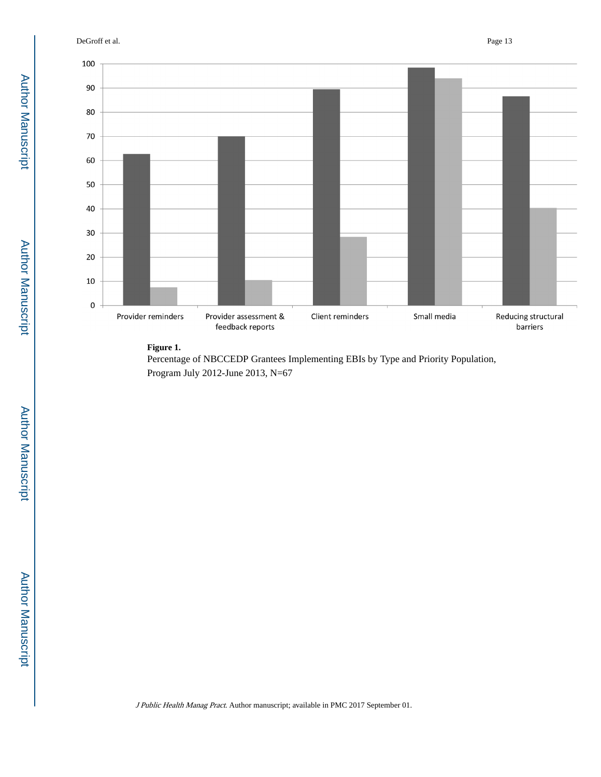DeGroff et al. Page 13



#### **Figure 1.**

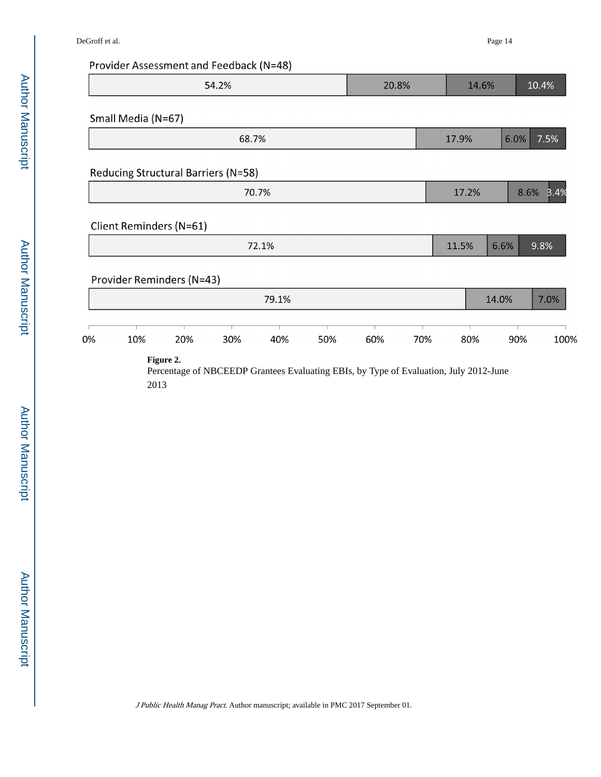# Provider Assessment and Feedback (N=48)

| 0% | Provider Reminders (N=43)<br>10%    | 20% | 30%   | 72.1%<br>79.1%<br>40% | 50% | 60%   | 70% | 11.5%<br>80% | 6.6%<br>14.0%<br>90% | 9.8%<br>100% |
|----|-------------------------------------|-----|-------|-----------------------|-----|-------|-----|--------------|----------------------|--------------|
|    |                                     |     |       |                       |     |       |     |              |                      | 7.0%         |
|    |                                     |     |       |                       |     |       |     |              |                      |              |
|    |                                     |     |       |                       |     |       |     |              |                      |              |
|    |                                     |     |       |                       |     |       |     |              |                      |              |
|    | Client Reminders (N=61)             |     |       |                       |     |       |     |              |                      |              |
|    |                                     |     |       |                       |     |       |     |              |                      |              |
|    |                                     |     |       | 70.7%                 |     |       |     | 17.2%        |                      | 8.6%<br>3.4% |
|    | Reducing Structural Barriers (N=58) |     |       |                       |     |       |     |              |                      |              |
|    |                                     |     | 68.7% |                       |     |       |     | 17.9%        | 6.0%                 | 7.5%         |
|    | Small Media (N=67)                  |     |       |                       |     |       |     |              |                      |              |
|    |                                     |     |       |                       |     |       |     |              |                      |              |
|    |                                     |     | 54.2% |                       |     | 20.8% |     | 14.6%        |                      | 10.4%        |

Percentage of NBCEEDP Grantees Evaluating EBIs, by Type of Evaluation, July 2012-June 2013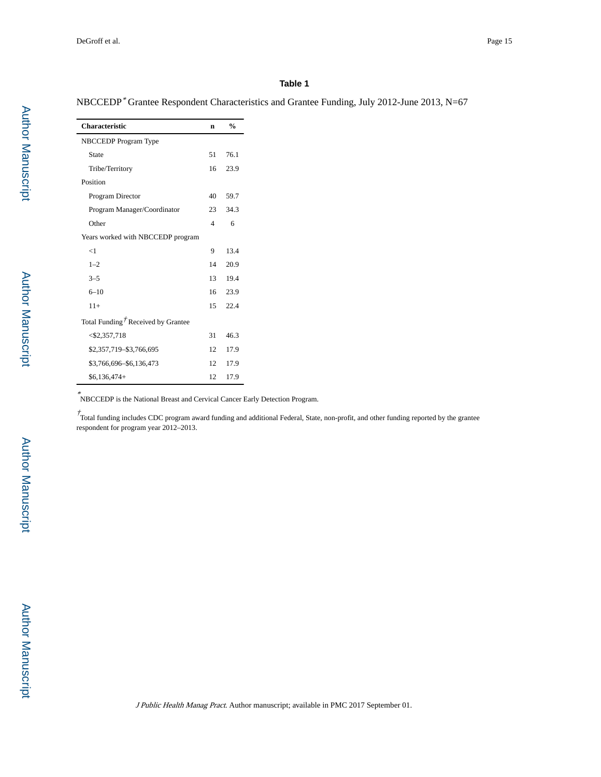#### **Table 1**

| NBCCEDP <sup>*</sup> Grantee Respondent Characteristics and Grantee Funding, July 2012-June 2013, N=67 |  |  |  |
|--------------------------------------------------------------------------------------------------------|--|--|--|
|--------------------------------------------------------------------------------------------------------|--|--|--|

| <b>Characteristic</b>                          | n  | $\frac{0}{0}$ |
|------------------------------------------------|----|---------------|
| NBCCEDP Program Type                           |    |               |
| State                                          | 51 | 76.1          |
| Tribe/Territory                                | 16 | 23.9          |
| Position                                       |    |               |
| Program Director                               | 40 | 59.7          |
| Program Manager/Coordinator                    | 23 | 34.3          |
| Other                                          | 4  | 6             |
| Years worked with NBCCEDP program              |    |               |
| <1                                             | 9  | 13.4          |
| $1 - 2$                                        | 14 | 20.9          |
| $3 - 5$                                        | 13 | 19.4          |
| $6 - 10$                                       | 16 | 23.9          |
| $11+$                                          | 15 | 22.4          |
| Total Funding <sup>†</sup> Received by Grantee |    |               |
| $<$ \$2,357,718                                | 31 | 46.3          |
| \$2,357,719-\$3,766,695                        | 12 | 17.9          |
| \$3,766,696-\$6,136,473                        | 12 | 17.9          |
| $$6,136,474+$                                  | 12 | 17.9          |

\* NBCCEDP is the National Breast and Cervical Cancer Early Detection Program.

 $\dot{T}$ Total funding includes CDC program award funding and additional Federal, State, non-profit, and other funding reported by the grantee respondent for program year 2012–2013.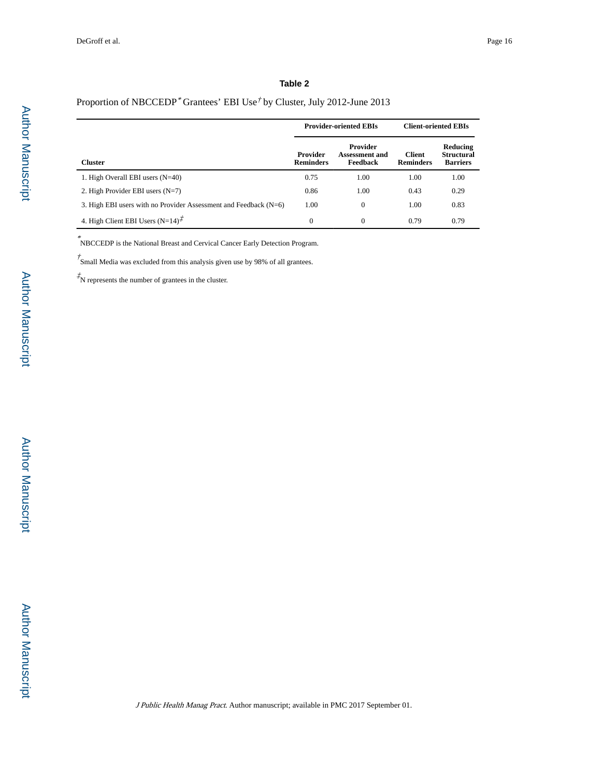#### **Table 2**

#### Proportion of NBCCEDP<sup>\*</sup> Grantees' EBI Use<sup>†</sup> by Cluster, July 2012-June 2013

|                                                                    |                              | <b>Provider-oriented EBIs</b>                 | <b>Client-oriented EBIs</b>       |                                                  |
|--------------------------------------------------------------------|------------------------------|-----------------------------------------------|-----------------------------------|--------------------------------------------------|
| <b>Cluster</b>                                                     | Provider<br><b>Reminders</b> | Provider<br><b>Assessment and</b><br>Feedback | <b>Client</b><br><b>Reminders</b> | Reducing<br><b>Structural</b><br><b>Barriers</b> |
| 1. High Overall EBI users $(N=40)$                                 | 0.75                         | 1.00                                          | 1.00                              | 1.00                                             |
| 2. High Provider EBI users $(N=7)$                                 | 0.86                         | 1.00                                          | 0.43                              | 0.29                                             |
| 3. High EBI users with no Provider Assessment and Feedback $(N=6)$ | 1.00                         | $\Omega$                                      | 1.00                              | 0.83                                             |
| 4. High Client EBI Users $(N=14)^{\mathcal{F}}$                    | $\theta$                     | $\Omega$                                      | 0.79                              | 0.79                                             |

\* NBCCEDP is the National Breast and Cervical Cancer Early Detection Program.

 $\dot{f}$ Small Media was excluded from this analysis given use by 98% of all grantees.

‡ N represents the number of grantees in the cluster.